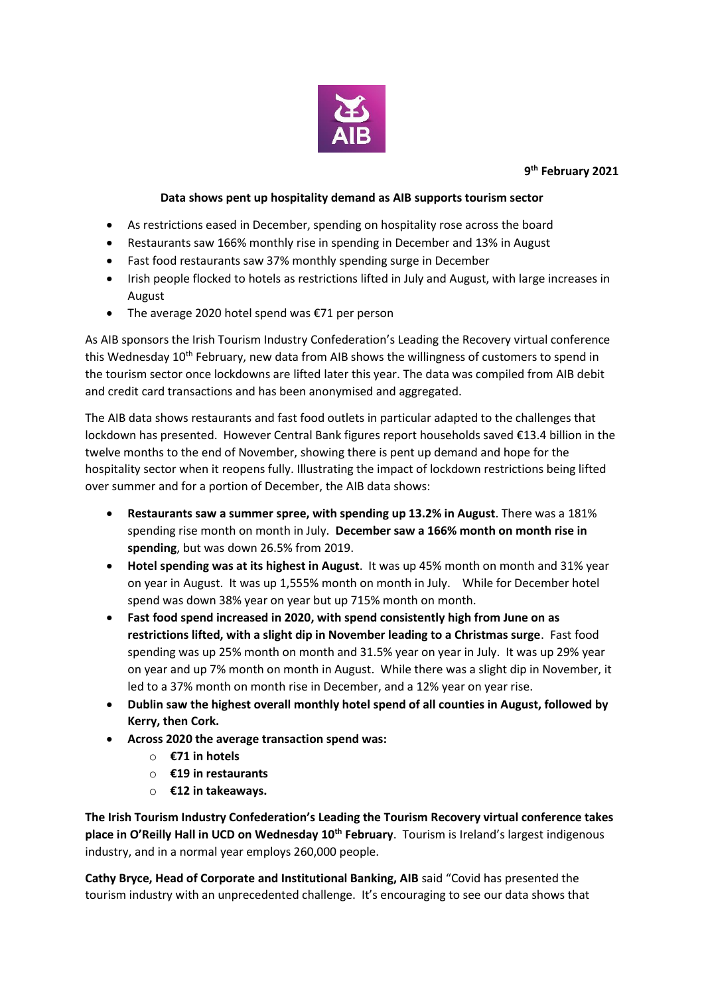

**9 th February 2021**

## **Data shows pent up hospitality demand as AIB supports tourism sector**

- As restrictions eased in December, spending on hospitality rose across the board
- Restaurants saw 166% monthly rise in spending in December and 13% in August
- Fast food restaurants saw 37% monthly spending surge in December
- Irish people flocked to hotels as restrictions lifted in July and August, with large increases in August
- The average 2020 hotel spend was €71 per person

As AIB sponsors the Irish Tourism Industry Confederation's Leading the Recovery virtual conference this Wednesday 10<sup>th</sup> February, new data from AIB shows the willingness of customers to spend in the tourism sector once lockdowns are lifted later this year. The data was compiled from AIB debit and credit card transactions and has been anonymised and aggregated.

The AIB data shows restaurants and fast food outlets in particular adapted to the challenges that lockdown has presented. However Central Bank figures report households saved €13.4 billion in the twelve months to the end of November, showing there is pent up demand and hope for the hospitality sector when it reopens fully. Illustrating the impact of lockdown restrictions being lifted over summer and for a portion of December, the AIB data shows:

- **Restaurants saw a summer spree, with spending up 13.2% in August**. There was a 181% spending rise month on month in July. **December saw a 166% month on month rise in spending**, but was down 26.5% from 2019.
- **Hotel spending was at its highest in August**. It was up 45% month on month and 31% year on year in August. It was up 1,555% month on month in July. While for December hotel spend was down 38% year on year but up 715% month on month.
- **Fast food spend increased in 2020, with spend consistently high from June on as restrictions lifted, with a slight dip in November leading to a Christmas surge**. Fast food spending was up 25% month on month and 31.5% year on year in July. It was up 29% year on year and up 7% month on month in August. While there was a slight dip in November, it led to a 37% month on month rise in December, and a 12% year on year rise.
- **Dublin saw the highest overall monthly hotel spend of all counties in August, followed by Kerry, then Cork.**
- **Across 2020 the average transaction spend was:**
	- o **€71 in hotels**
	- o **€19 in restaurants**
	- o **€12 in takeaways.**

**The Irish Tourism Industry Confederation's Leading the Tourism Recovery virtual conference takes place in O'Reilly Hall in UCD on Wednesday 10th February**. Tourism is Ireland's largest indigenous industry, and in a normal year employs 260,000 people.

**Cathy Bryce, Head of Corporate and Institutional Banking, AIB** said "Covid has presented the tourism industry with an unprecedented challenge. It's encouraging to see our data shows that